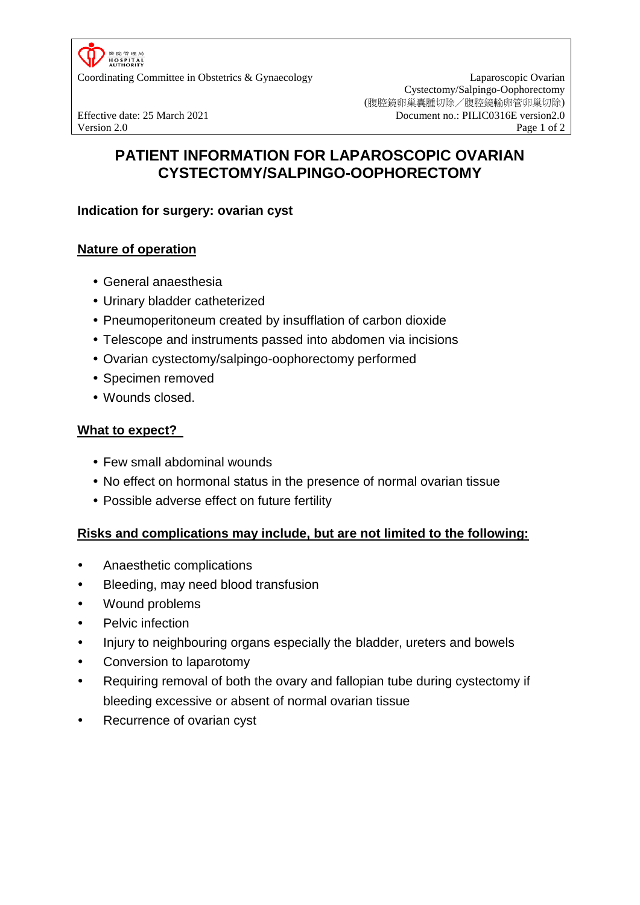

Coordinating Committee in Obstetrics & Gynaecology Laparoscopic Ovarian

Cystectomy/Salpingo-Oophorectomy (腹腔鏡卵巢囊腫切除/腹腔鏡輸卵管卵巢切除) Effective date: 25 March 2021 Document no.: PILIC0316E version2.0 Version 2.0 Page 1 of 2

# **PATIENT INFORMATION FOR LAPAROSCOPIC OVARIAN CYSTECTOMY/SALPINGO-OOPHORECTOMY**

## **Indication for surgery: ovarian cyst**

### **Nature of operation**

- General anaesthesia
- Urinary bladder catheterized
- Pneumoperitoneum created by insufflation of carbon dioxide
- Telescope and instruments passed into abdomen via incisions
- Ovarian cystectomy/salpingo-oophorectomy performed
- Specimen removed
- Wounds closed.

#### **What to expect?**

- Few small abdominal wounds
- No effect on hormonal status in the presence of normal ovarian tissue
- Possible adverse effect on future fertility

#### **Risks and complications may include, but are not limited to the following:**

- Anaesthetic complications
- Bleeding, may need blood transfusion
- Wound problems
- Pelvic infection
- Injury to neighbouring organs especially the bladder, ureters and bowels
- Conversion to laparotomy
- Requiring removal of both the ovary and fallopian tube during cystectomy if bleeding excessive or absent of normal ovarian tissue
- Recurrence of ovarian cyst